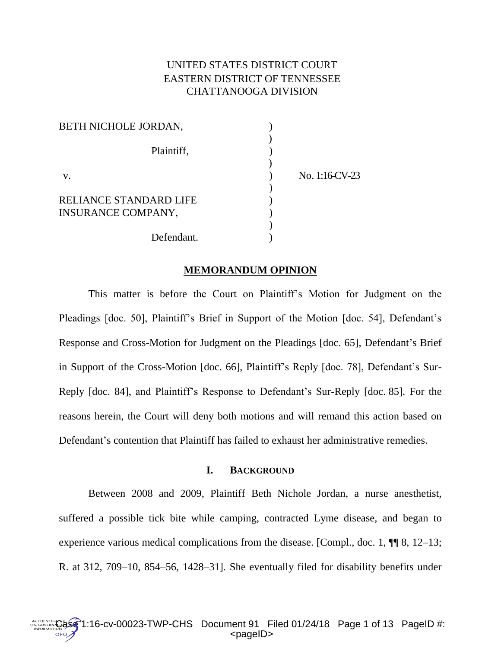# UNITED STATES DISTRICT COURT EASTERN DISTRICT OF TENNESSEE CHATTANOOGA DIVISION

| BETH NICHOLE JORDAN,      |                |
|---------------------------|----------------|
| Plaintiff,                |                |
| $V_{\cdot}$               | No. 1:16-CV-23 |
| RELIANCE STANDARD LIFE    |                |
| <b>INSURANCE COMPANY,</b> |                |
| Defendant.                |                |

#### **MEMORANDUM OPINION**

This matter is before the Court on Plaintiff's Motion for Judgment on the Pleadings [doc. 50], Plaintiff's Brief in Support of the Motion [doc. 54], Defendant's Response and Cross-Motion for Judgment on the Pleadings [doc. 65], Defendant's Brief in Support of the Cross-Motion [doc. 66], Plaintiff's Reply [doc. 78], Defendant's Sur-Reply [doc. 84], and Plaintiff's Response to Defendant's Sur-Reply [doc. 85]. For the reasons herein, the Court will deny both motions and will remand this action based on Defendant's contention that Plaintiff has failed to exhaust her administrative remedies.

### **I. BACKGROUND**

Between 2008 and 2009, Plaintiff Beth Nichole Jordan, a nurse anesthetist, suffered a possible tick bite while camping, contracted Lyme disease, and began to experience various medical complications from the disease. [Compl., doc. 1, ¶¶ 8, 12–13; R. at 312, 709–10, 854–56, 1428–31]. She eventually filed for disability benefits under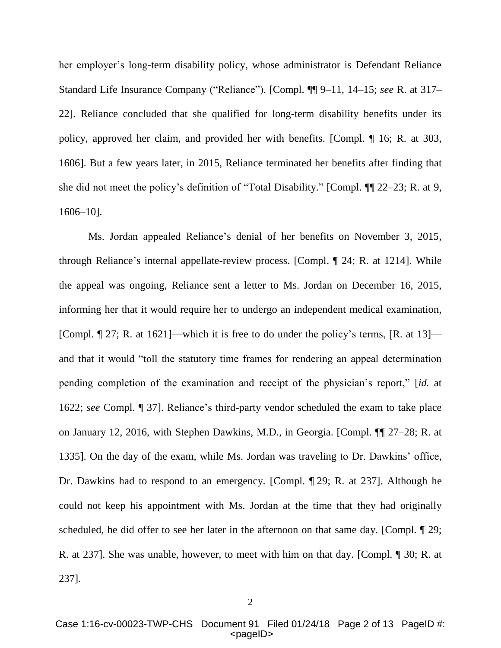her employer's long-term disability policy, whose administrator is Defendant Reliance Standard Life Insurance Company ("Reliance"). [Compl. ¶¶ 9–11, 14–15; *see* R. at 317– 22]. Reliance concluded that she qualified for long-term disability benefits under its policy, approved her claim, and provided her with benefits. [Compl. ¶ 16; R. at 303, 1606]. But a few years later, in 2015, Reliance terminated her benefits after finding that she did not meet the policy's definition of "Total Disability." [Compl. ¶¶ 22–23; R. at 9, 1606–10].

Ms. Jordan appealed Reliance's denial of her benefits on November 3, 2015, through Reliance's internal appellate-review process. [Compl. ¶ 24; R. at 1214]. While the appeal was ongoing, Reliance sent a letter to Ms. Jordan on December 16, 2015, informing her that it would require her to undergo an independent medical examination, [Compl.  $\P$  27; R. at 1621]—which it is free to do under the policy's terms, [R. at 13] and that it would "toll the statutory time frames for rendering an appeal determination pending completion of the examination and receipt of the physician's report," [*id.* at 1622; *see* Compl. ¶ 37]. Reliance's third-party vendor scheduled the exam to take place on January 12, 2016, with Stephen Dawkins, M.D., in Georgia. [Compl. ¶¶ 27–28; R. at 1335]. On the day of the exam, while Ms. Jordan was traveling to Dr. Dawkins' office, Dr. Dawkins had to respond to an emergency. [Compl. ¶ 29; R. at 237]. Although he could not keep his appointment with Ms. Jordan at the time that they had originally scheduled, he did offer to see her later in the afternoon on that same day. [Compl. ¶ 29; R. at 237]. She was unable, however, to meet with him on that day. [Compl. ¶ 30; R. at 237].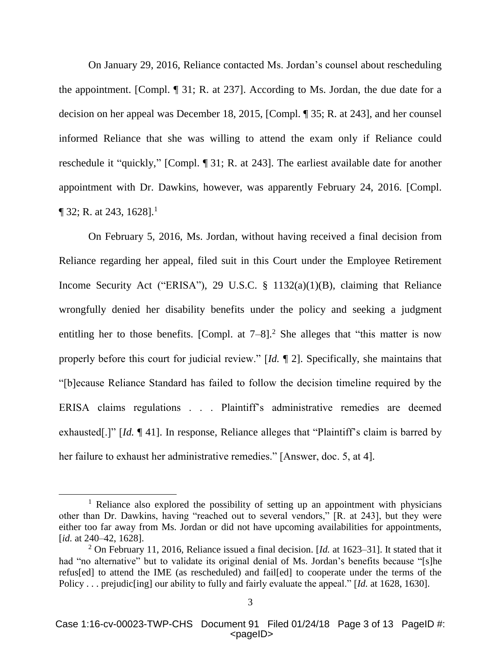On January 29, 2016, Reliance contacted Ms. Jordan's counsel about rescheduling the appointment. [Compl. ¶ 31; R. at 237]. According to Ms. Jordan, the due date for a decision on her appeal was December 18, 2015, [Compl. ¶ 35; R. at 243], and her counsel informed Reliance that she was willing to attend the exam only if Reliance could reschedule it "quickly," [Compl. ¶ 31; R. at 243]. The earliest available date for another appointment with Dr. Dawkins, however, was apparently February 24, 2016. [Compl.  $\P$  32; R. at 243, 1628].<sup>1</sup>

On February 5, 2016, Ms. Jordan, without having received a final decision from Reliance regarding her appeal, filed suit in this Court under the Employee Retirement Income Security Act ("ERISA"), 29 U.S.C. § 1132(a)(1)(B), claiming that Reliance wrongfully denied her disability benefits under the policy and seeking a judgment entitling her to those benefits. [Compl. at  $7-8$ ]<sup>2</sup> She alleges that "this matter is now properly before this court for judicial review." [*Id.* ¶ 2]. Specifically, she maintains that "[b]ecause Reliance Standard has failed to follow the decision timeline required by the ERISA claims regulations . . . Plaintiff's administrative remedies are deemed exhausted[.]" [*Id.* ¶ 41]. In response, Reliance alleges that "Plaintiff's claim is barred by her failure to exhaust her administrative remedies." [Answer, doc. 5, at 4].

 $\overline{a}$ 

<sup>&</sup>lt;sup>1</sup> Reliance also explored the possibility of setting up an appointment with physicians other than Dr. Dawkins, having "reached out to several vendors," [R. at 243], but they were either too far away from Ms. Jordan or did not have upcoming availabilities for appointments, [*id.* at 240–42, 1628].

<sup>2</sup> On February 11, 2016, Reliance issued a final decision. [*Id.* at 1623–31]. It stated that it had "no alternative" but to validate its original denial of Ms. Jordan's benefits because "[s]he refus[ed] to attend the IME (as rescheduled) and fail[ed] to cooperate under the terms of the Policy . . . prejudic[ing] our ability to fully and fairly evaluate the appeal." [*Id.* at 1628, 1630].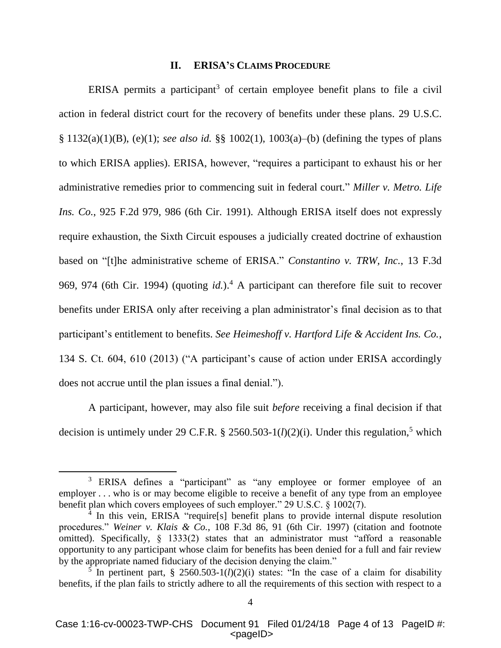### **II. ERISA'S CLAIMS PROCEDURE**

ERISA permits a participant<sup>3</sup> of certain employee benefit plans to file a civil action in federal district court for the recovery of benefits under these plans. 29 U.S.C. § 1132(a)(1)(B), (e)(1); *see also id.* §§ 1002(1), 1003(a)–(b) (defining the types of plans to which ERISA applies). ERISA, however, "requires a participant to exhaust his or her administrative remedies prior to commencing suit in federal court." *Miller v. Metro. Life Ins. Co.*, 925 F.2d 979, 986 (6th Cir. 1991). Although ERISA itself does not expressly require exhaustion, the Sixth Circuit espouses a judicially created doctrine of exhaustion based on "[t]he administrative scheme of ERISA." *Constantino v. TRW, Inc.*, 13 F.3d 969, 974 (6th Cir. 1994) (quoting *id.*).<sup>4</sup> A participant can therefore file suit to recover benefits under ERISA only after receiving a plan administrator's final decision as to that participant's entitlement to benefits. *See Heimeshoff v. Hartford Life & Accident Ins. Co.*, 134 S. Ct. 604, 610 (2013) ("A participant's cause of action under ERISA accordingly does not accrue until the plan issues a final denial.").

A participant, however, may also file suit *before* receiving a final decision if that decision is untimely under 29 C.F.R.  $\S$  2560.503-1(*l*)(2)(i). Under this regulation,<sup>5</sup> which

 $\overline{\phantom{a}}$ 

<sup>&</sup>lt;sup>3</sup> ERISA defines a "participant" as "any employee or former employee of an employer . . . who is or may become eligible to receive a benefit of any type from an employee benefit plan which covers employees of such employer." 29 U.S.C.  $\S$  1002(7).

<sup>&</sup>lt;sup>4</sup> In this vein, ERISA "require[s] benefit plans to provide internal dispute resolution procedures." *Weiner v. Klais & Co.*, 108 F.3d 86, 91 (6th Cir. 1997) (citation and footnote omitted). Specifically, § 1333(2) states that an administrator must "afford a reasonable opportunity to any participant whose claim for benefits has been denied for a full and fair review by the appropriate named fiduciary of the decision denying the claim."

<sup>&</sup>lt;sup>5</sup> In pertinent part, § 2560.503-1( $l$ )(2)(i) states: "In the case of a claim for disability benefits, if the plan fails to strictly adhere to all the requirements of this section with respect to a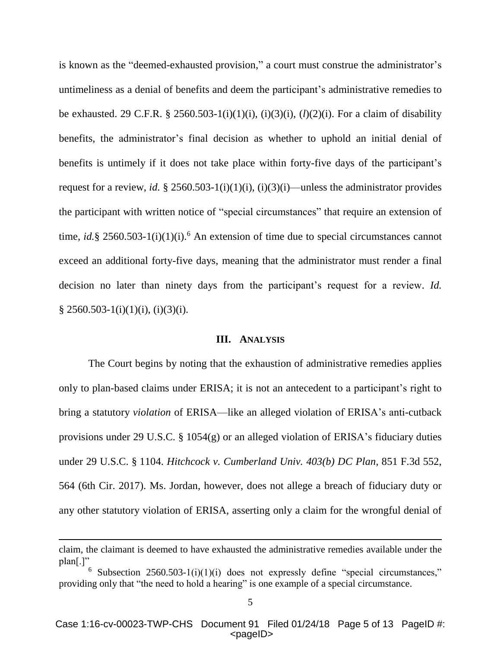is known as the "deemed-exhausted provision," a court must construe the administrator's untimeliness as a denial of benefits and deem the participant's administrative remedies to be exhausted. 29 C.F.R. § 2560.503-1(i)(1)(i), (i)(3)(i), (*l*)(2)(i). For a claim of disability benefits, the administrator's final decision as whether to uphold an initial denial of benefits is untimely if it does not take place within forty-five days of the participant's request for a review, *id.* § 2560.503-1(i)(1)(i), (i)(3)(i)—unless the administrator provides the participant with written notice of "special circumstances" that require an extension of time, *id.*§ 2560.503-1(i)(1)(i).<sup>6</sup> An extension of time due to special circumstances cannot exceed an additional forty-five days, meaning that the administrator must render a final decision no later than ninety days from the participant's request for a review. *Id.*   $§ 2560.503-1(i)(1)(i), (i)(3)(i).$ 

## **III. ANALYSIS**

The Court begins by noting that the exhaustion of administrative remedies applies only to plan-based claims under ERISA; it is not an antecedent to a participant's right to bring a statutory *violation* of ERISA—like an alleged violation of ERISA's anti-cutback provisions under 29 U.S.C. § 1054(g) or an alleged violation of ERISA's fiduciary duties under 29 U.S.C. § 1104. *Hitchcock v. Cumberland Univ. 403(b) DC Plan*, 851 F.3d 552, 564 (6th Cir. 2017). Ms. Jordan, however, does not allege a breach of fiduciary duty or any other statutory violation of ERISA, asserting only a claim for the wrongful denial of

l

claim, the claimant is deemed to have exhausted the administrative remedies available under the plan[.]"

<sup>&</sup>lt;sup>6</sup> Subsection 2560.503-1(i)(1)(i) does not expressly define "special circumstances," providing only that "the need to hold a hearing" is one example of a special circumstance.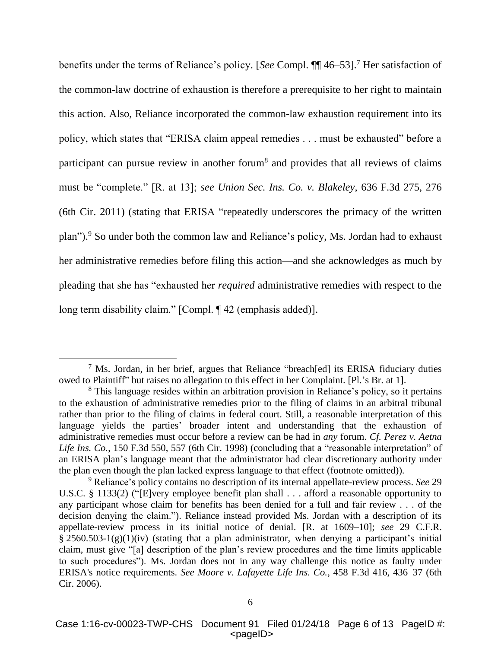benefits under the terms of Reliance's policy. [*See* Compl. ¶¶ 46–53].<sup>7</sup> Her satisfaction of the common-law doctrine of exhaustion is therefore a prerequisite to her right to maintain this action. Also, Reliance incorporated the common-law exhaustion requirement into its policy, which states that "ERISA claim appeal remedies . . . must be exhausted" before a participant can pursue review in another forum<sup>8</sup> and provides that all reviews of claims must be "complete." [R. at 13]; *see Union Sec. Ins. Co. v. Blakeley*, 636 F.3d 275, 276 (6th Cir. 2011) (stating that ERISA "repeatedly underscores the primacy of the written plan").<sup>9</sup> So under both the common law and Reliance's policy, Ms. Jordan had to exhaust her administrative remedies before filing this action—and she acknowledges as much by pleading that she has "exhausted her *required* administrative remedies with respect to the long term disability claim." [Compl. ¶ 42 (emphasis added)].

 $\overline{\phantom{a}}$ 

<sup>7</sup> Ms. Jordan, in her brief, argues that Reliance "breach[ed] its ERISA fiduciary duties owed to Plaintiff" but raises no allegation to this effect in her Complaint. [Pl.'s Br. at 1].

<sup>&</sup>lt;sup>8</sup> This language resides within an arbitration provision in Reliance's policy, so it pertains to the exhaustion of administrative remedies prior to the filing of claims in an arbitral tribunal rather than prior to the filing of claims in federal court. Still, a reasonable interpretation of this language yields the parties' broader intent and understanding that the exhaustion of administrative remedies must occur before a review can be had in *any* forum. *Cf. Perez v. Aetna*  Life Ins. Co., 150 F.3d 550, 557 (6th Cir. 1998) (concluding that a "reasonable interpretation" of an ERISA plan's language meant that the administrator had clear discretionary authority under the plan even though the plan lacked express language to that effect (footnote omitted)).

<sup>9</sup> Reliance's policy contains no description of its internal appellate-review process. *See* 29 U.S.C. § 1133(2) ("[E]very employee benefit plan shall . . . afford a reasonable opportunity to any participant whose claim for benefits has been denied for a full and fair review . . . of the decision denying the claim."). Reliance instead provided Ms. Jordan with a description of its appellate-review process in its initial notice of denial. [R. at 1609–10]; *see* 29 C.F.R.  $\S 2560.503-1(g)(1)(iv)$  (stating that a plan administrator, when denying a participant's initial claim, must give "[a] description of the plan's review procedures and the time limits applicable to such procedures"). Ms. Jordan does not in any way challenge this notice as faulty under ERISA's notice requirements. *See Moore v. Lafayette Life Ins. Co.*, 458 F.3d 416, 436–37 (6th Cir. 2006).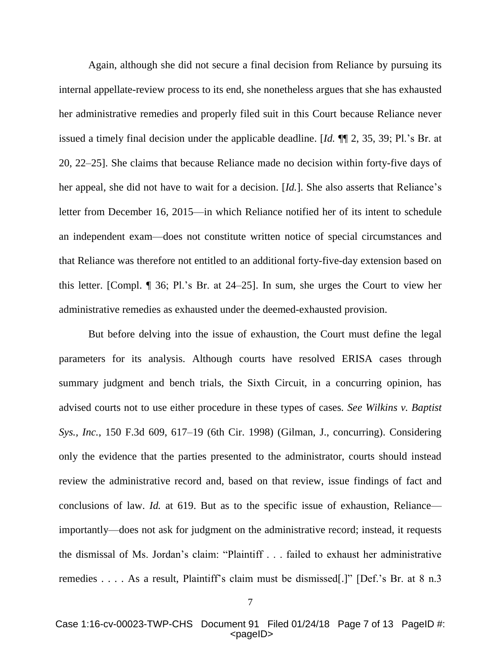Again, although she did not secure a final decision from Reliance by pursuing its internal appellate-review process to its end, she nonetheless argues that she has exhausted her administrative remedies and properly filed suit in this Court because Reliance never issued a timely final decision under the applicable deadline. [*Id.* ¶¶ 2, 35, 39; Pl.'s Br. at 20, 22–25]. She claims that because Reliance made no decision within forty-five days of her appeal, she did not have to wait for a decision. [*Id.*]. She also asserts that Reliance's letter from December 16, 2015—in which Reliance notified her of its intent to schedule an independent exam—does not constitute written notice of special circumstances and that Reliance was therefore not entitled to an additional forty-five-day extension based on this letter. [Compl. ¶ 36; Pl.'s Br. at 24–25]. In sum, she urges the Court to view her administrative remedies as exhausted under the deemed-exhausted provision.

But before delving into the issue of exhaustion, the Court must define the legal parameters for its analysis. Although courts have resolved ERISA cases through summary judgment and bench trials, the Sixth Circuit, in a concurring opinion, has advised courts not to use either procedure in these types of cases*. See Wilkins v. Baptist Sys., Inc.*, 150 F.3d 609, 617–19 (6th Cir. 1998) (Gilman, J., concurring). Considering only the evidence that the parties presented to the administrator, courts should instead review the administrative record and, based on that review, issue findings of fact and conclusions of law. *Id.* at 619. But as to the specific issue of exhaustion, Reliance importantly—does not ask for judgment on the administrative record; instead, it requests the dismissal of Ms. Jordan's claim: "Plaintiff . . . failed to exhaust her administrative remedies . . . . As a result, Plaintiff's claim must be dismissed[.]" [Def.'s Br. at 8 n.3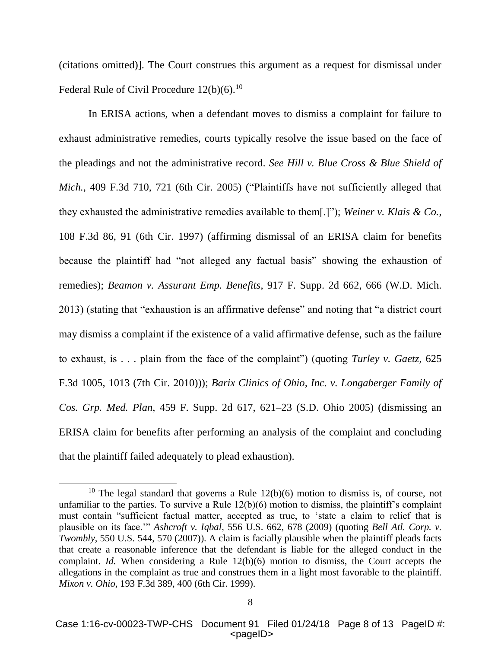(citations omitted)]. The Court construes this argument as a request for dismissal under Federal Rule of Civil Procedure 12(b)(6).<sup>10</sup>

In ERISA actions, when a defendant moves to dismiss a complaint for failure to exhaust administrative remedies, courts typically resolve the issue based on the face of the pleadings and not the administrative record. *See Hill v. Blue Cross & Blue Shield of Mich.*, 409 F.3d 710, 721 (6th Cir. 2005) ("Plaintiffs have not sufficiently alleged that they exhausted the administrative remedies available to them[.]"); *Weiner v. Klais & Co.*, 108 F.3d 86, 91 (6th Cir. 1997) (affirming dismissal of an ERISA claim for benefits because the plaintiff had "not alleged any factual basis" showing the exhaustion of remedies); *Beamon v. Assurant Emp. Benefits*, 917 F. Supp. 2d 662, 666 (W.D. Mich. 2013) (stating that "exhaustion is an affirmative defense" and noting that "a district court may dismiss a complaint if the existence of a valid affirmative defense, such as the failure to exhaust, is . . . plain from the face of the complaint") (quoting *Turley v. Gaetz*, 625 F.3d 1005, 1013 (7th Cir. 2010))); *Barix Clinics of Ohio, Inc. v. Longaberger Family of Cos. Grp. Med. Plan*, 459 F. Supp. 2d 617, 621–23 (S.D. Ohio 2005) (dismissing an ERISA claim for benefits after performing an analysis of the complaint and concluding that the plaintiff failed adequately to plead exhaustion).

l

<sup>&</sup>lt;sup>10</sup> The legal standard that governs a Rule  $12(b)(6)$  motion to dismiss is, of course, not unfamiliar to the parties. To survive a Rule 12(b)(6) motion to dismiss, the plaintiff's complaint must contain "sufficient factual matter, accepted as true, to 'state a claim to relief that is plausible on its face.'" *Ashcroft v. Iqbal*, 556 U.S. 662, 678 (2009) (quoting *Bell Atl. Corp. v. Twombly*, 550 U.S. 544, 570 (2007)). A claim is facially plausible when the plaintiff pleads facts that create a reasonable inference that the defendant is liable for the alleged conduct in the complaint. *Id.* When considering a Rule 12(b)(6) motion to dismiss, the Court accepts the allegations in the complaint as true and construes them in a light most favorable to the plaintiff. *Mixon v. Ohio*, 193 F.3d 389, 400 (6th Cir. 1999).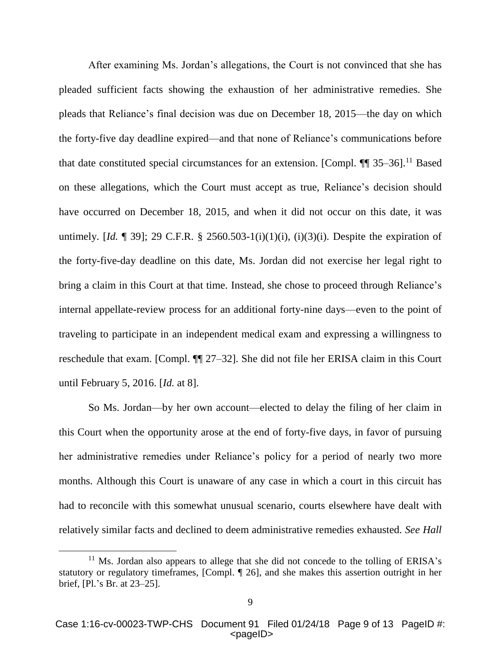After examining Ms. Jordan's allegations, the Court is not convinced that she has pleaded sufficient facts showing the exhaustion of her administrative remedies. She pleads that Reliance's final decision was due on December 18, 2015—the day on which the forty-five day deadline expired—and that none of Reliance's communications before that date constituted special circumstances for an extension. [Compl.  $\P$   $\qquad$  35–36].<sup>11</sup> Based on these allegations, which the Court must accept as true, Reliance's decision should have occurred on December 18, 2015, and when it did not occur on this date, it was untimely. *[Id.*  $\llbracket 39 \rrbracket$ ; 29 C.F.R. § 2560.503-1(i)(1)(i), (i)(3)(i). Despite the expiration of the forty-five-day deadline on this date, Ms. Jordan did not exercise her legal right to bring a claim in this Court at that time. Instead, she chose to proceed through Reliance's internal appellate-review process for an additional forty-nine days—even to the point of traveling to participate in an independent medical exam and expressing a willingness to reschedule that exam. [Compl. ¶¶ 27–32]. She did not file her ERISA claim in this Court until February 5, 2016. [*Id.* at 8].

So Ms. Jordan—by her own account—elected to delay the filing of her claim in this Court when the opportunity arose at the end of forty-five days, in favor of pursuing her administrative remedies under Reliance's policy for a period of nearly two more months. Although this Court is unaware of any case in which a court in this circuit has had to reconcile with this somewhat unusual scenario, courts elsewhere have dealt with relatively similar facts and declined to deem administrative remedies exhausted. *See Hall* 

 $\overline{a}$ 

 $11$  Ms. Jordan also appears to allege that she did not concede to the tolling of ERISA's statutory or regulatory timeframes, [Compl. ¶ 26], and she makes this assertion outright in her brief, [Pl.'s Br. at 23–25].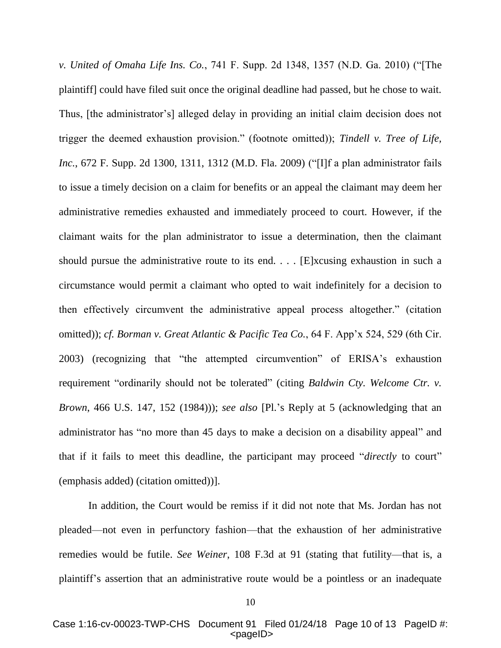*v. United of Omaha Life Ins. Co.*, 741 F. Supp. 2d 1348, 1357 (N.D. Ga. 2010) ("[The plaintiff] could have filed suit once the original deadline had passed, but he chose to wait. Thus, [the administrator's] alleged delay in providing an initial claim decision does not trigger the deemed exhaustion provision." (footnote omitted)); *Tindell v. Tree of Life, Inc.*, 672 F. Supp. 2d 1300, 1311, 1312 (M.D. Fla. 2009) ("[I]f a plan administrator fails to issue a timely decision on a claim for benefits or an appeal the claimant may deem her administrative remedies exhausted and immediately proceed to court. However, if the claimant waits for the plan administrator to issue a determination, then the claimant should pursue the administrative route to its end. . . . [E]xcusing exhaustion in such a circumstance would permit a claimant who opted to wait indefinitely for a decision to then effectively circumvent the administrative appeal process altogether." (citation omitted)); *cf. Borman v. Great Atlantic & Pacific Tea Co.*, 64 F. App'x 524, 529 (6th Cir. 2003) (recognizing that "the attempted circumvention" of ERISA's exhaustion requirement "ordinarily should not be tolerated" (citing *Baldwin Cty. Welcome Ctr. v. Brown*, 466 U.S. 147, 152 (1984))); *see also* [Pl.'s Reply at 5 (acknowledging that an administrator has "no more than 45 days to make a decision on a disability appeal" and that if it fails to meet this deadline, the participant may proceed "*directly* to court" (emphasis added) (citation omitted))].

In addition, the Court would be remiss if it did not note that Ms. Jordan has not pleaded—not even in perfunctory fashion—that the exhaustion of her administrative remedies would be futile. *See Weiner*, 108 F.3d at 91 (stating that futility—that is, a plaintiff's assertion that an administrative route would be a pointless or an inadequate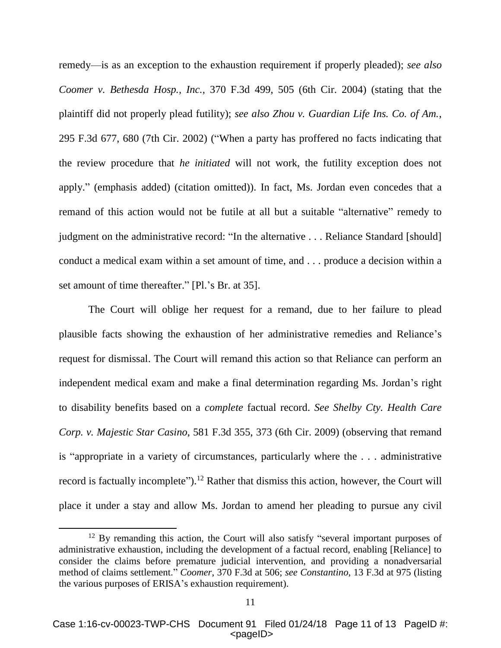remedy—is as an exception to the exhaustion requirement if properly pleaded); *see also Coomer v. Bethesda Hosp., Inc.*, 370 F.3d 499, 505 (6th Cir. 2004) (stating that the plaintiff did not properly plead futility); *see also Zhou v. Guardian Life Ins. Co. of Am.*, 295 F.3d 677, 680 (7th Cir. 2002) ("When a party has proffered no facts indicating that the review procedure that *he initiated* will not work, the futility exception does not apply." (emphasis added) (citation omitted)). In fact, Ms. Jordan even concedes that a remand of this action would not be futile at all but a suitable "alternative" remedy to judgment on the administrative record: "In the alternative . . . Reliance Standard [should] conduct a medical exam within a set amount of time, and . . . produce a decision within a set amount of time thereafter." [Pl.'s Br. at 35].

The Court will oblige her request for a remand, due to her failure to plead plausible facts showing the exhaustion of her administrative remedies and Reliance's request for dismissal. The Court will remand this action so that Reliance can perform an independent medical exam and make a final determination regarding Ms. Jordan's right to disability benefits based on a *complete* factual record. *See Shelby Cty. Health Care Corp. v. Majestic Star Casino*, 581 F.3d 355, 373 (6th Cir. 2009) (observing that remand is "appropriate in a variety of circumstances, particularly where the . . . administrative record is factually incomplete").<sup>12</sup> Rather that dismiss this action, however, the Court will place it under a stay and allow Ms. Jordan to amend her pleading to pursue any civil

 $\overline{\phantom{a}}$ 

 $12$  By remanding this action, the Court will also satisfy "several important purposes of administrative exhaustion, including the development of a factual record, enabling [Reliance] to consider the claims before premature judicial intervention, and providing a nonadversarial method of claims settlement." *Coomer*, 370 F.3d at 506; *see Constantino*, 13 F.3d at 975 (listing the various purposes of ERISA's exhaustion requirement).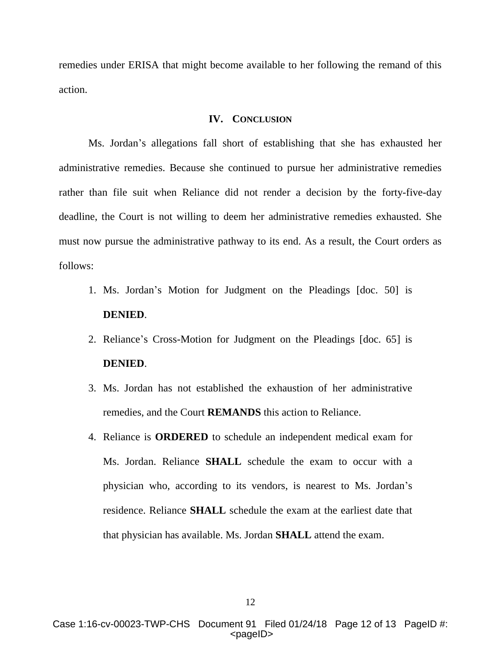remedies under ERISA that might become available to her following the remand of this action.

#### **IV. CONCLUSION**

Ms. Jordan's allegations fall short of establishing that she has exhausted her administrative remedies. Because she continued to pursue her administrative remedies rather than file suit when Reliance did not render a decision by the forty-five-day deadline, the Court is not willing to deem her administrative remedies exhausted. She must now pursue the administrative pathway to its end. As a result, the Court orders as follows:

- 1. Ms. Jordan's Motion for Judgment on the Pleadings [doc. 50] is **DENIED**.
- 2. Reliance's Cross-Motion for Judgment on the Pleadings [doc. 65] is **DENIED**.
- 3. Ms. Jordan has not established the exhaustion of her administrative remedies, and the Court **REMANDS** this action to Reliance.
- 4. Reliance is **ORDERED** to schedule an independent medical exam for Ms. Jordan. Reliance **SHALL** schedule the exam to occur with a physician who, according to its vendors, is nearest to Ms. Jordan's residence. Reliance **SHALL** schedule the exam at the earliest date that that physician has available. Ms. Jordan **SHALL** attend the exam.